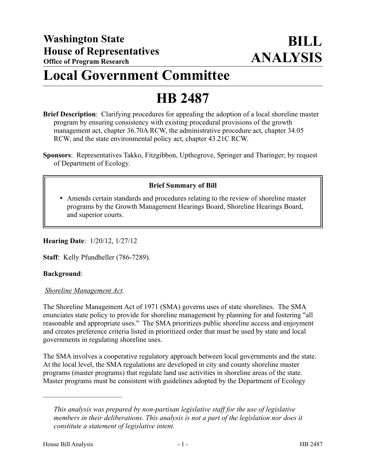## **Local Government Committee**

# **HB 2487**

**Brief Description**: Clarifying procedures for appealing the adoption of a local shoreline master program by ensuring consistency with existing procedural provisions of the growth management act, chapter 36.70A RCW, the administrative procedure act, chapter 34.05 RCW, and the state environmental policy act, chapter 43.21C RCW.

**Sponsors**: Representatives Takko, Fitzgibbon, Upthegrove, Springer and Tharinger; by request of Department of Ecology.

## **Brief Summary of Bill**

 Amends certain standards and procedures relating to the review of shoreline master programs by the Growth Management Hearings Board, Shoreline Hearings Board, and superior courts.

**Hearing Date**: 1/20/12, 1/27/12

**Staff**: Kelly Pfundheller (786-7289).

#### **Background**:

#### *Shoreline Management Act.*

––––––––––––––––––––––

The Shoreline Management Act of 1971 (SMA) governs uses of state shorelines. The SMA enunciates state policy to provide for shoreline management by planning for and fostering "all reasonable and appropriate uses." The SMA prioritizes public shoreline access and enjoyment and creates preference criteria listed in prioritized order that must be used by state and local governments in regulating shoreline uses.

The SMA involves a cooperative regulatory approach between local governments and the state. At the local level, the SMA regulations are developed in city and county shoreline master programs (master programs) that regulate land use activities in shoreline areas of the state. Master programs must be consistent with guidelines adopted by the Department of Ecology

*This analysis was prepared by non-partisan legislative staff for the use of legislative members in their deliberations. This analysis is not a part of the legislation nor does it constitute a statement of legislative intent.*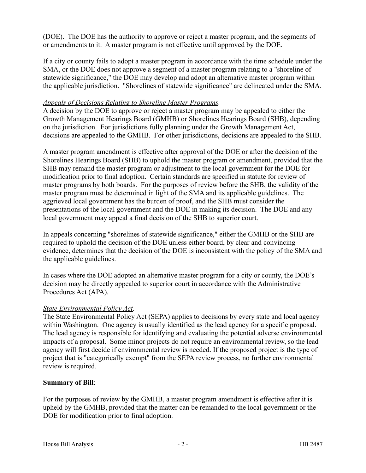(DOE). The DOE has the authority to approve or reject a master program, and the segments of or amendments to it. A master program is not effective until approved by the DOE.

If a city or county fails to adopt a master program in accordance with the time schedule under the SMA, or the DOE does not approve a segment of a master program relating to a "shoreline of statewide significance," the DOE may develop and adopt an alternative master program within the applicable jurisdiction. "Shorelines of statewide significance" are delineated under the SMA.

#### *Appeals of Decisions Relating to Shoreline Master Programs.*

A decision by the DOE to approve or reject a master program may be appealed to either the Growth Management Hearings Board (GMHB) or Shorelines Hearings Board (SHB), depending on the jurisdiction. For jurisdictions fully planning under the Growth Management Act, decisions are appealed to the GMHB. For other jurisdictions, decisions are appealed to the SHB.

A master program amendment is effective after approval of the DOE or after the decision of the Shorelines Hearings Board (SHB) to uphold the master program or amendment, provided that the SHB may remand the master program or adjustment to the local government for the DOE for modification prior to final adoption. Certain standards are specified in statute for review of master programs by both boards. For the purposes of review before the SHB, the validity of the master program must be determined in light of the SMA and its applicable guidelines. The aggrieved local government has the burden of proof, and the SHB must consider the presentations of the local government and the DOE in making its decision. The DOE and any local government may appeal a final decision of the SHB to superior court.

In appeals concerning "shorelines of statewide significance," either the GMHB or the SHB are required to uphold the decision of the DOE unless either board, by clear and convincing evidence, determines that the decision of the DOE is inconsistent with the policy of the SMA and the applicable guidelines.

In cases where the DOE adopted an alternative master program for a city or county, the DOE's decision may be directly appealed to superior court in accordance with the Administrative Procedures Act (APA).

## *State Environmental Policy Act.*

The State Environmental Policy Act (SEPA) applies to decisions by every state and local agency within Washington. One agency is usually identified as the lead agency for a specific proposal. The lead agency is responsible for identifying and evaluating the potential adverse environmental impacts of a proposal. Some minor projects do not require an environmental review, so the lead agency will first decide if environmental review is needed. If the proposed project is the type of project that is "categorically exempt" from the SEPA review process, no further environmental review is required.

## **Summary of Bill**:

For the purposes of review by the GMHB, a master program amendment is effective after it is upheld by the GMHB, provided that the matter can be remanded to the local government or the DOE for modification prior to final adoption.